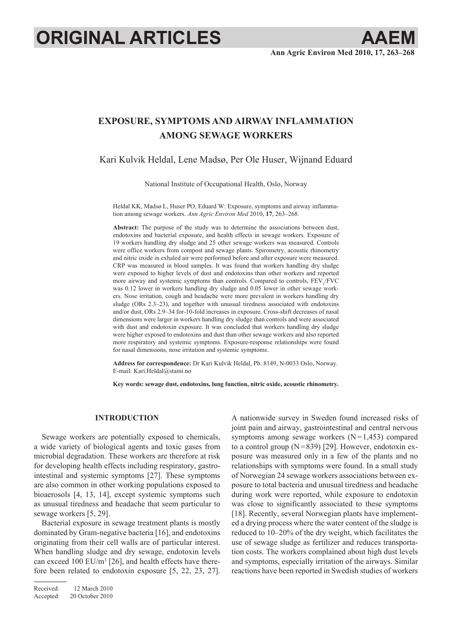# **ORIGINAL ARTICLES AAEM**

# **Exposure, symptoms and airway inflammation among sewage workers**

# Kari Kulvik Heldal, Lene Madsø, Per Ole Huser, Wijnand Eduard

National Institute of Occupational Health, Oslo, Norway

Heldal KK, Madsø L, Huser PO, Eduard W: Exposure, symptoms and airway inflammation among sewage workers. *Ann Agric Environ Med* 2010, **17**, 263–268.

**Abstract:** The purpose of the study was to determine the associations between dust, endotoxins and bacterial exposure, and health effects in sewage workers. Exposure of 19 workers handling dry sludge and 25 other sewage workers was measured. Controls were office workers from compost and sewage plants. Spirometry, acoustic rhinometry and nitric oxide in exhaled air were performed before and after exposure were measured. CRP was measured in blood samples. It was found that workers handling dry sludge were exposed to higher levels of dust and endotoxins than other workers and reported more airway and systemic symptoms than controls. Compared to controls,  $FEV<sub>1</sub>/FVC$ was 0.12 lower in workers handling dry sludge and 0.05 lower in other sewage workers. Nose irritation, cough and headache were more prevalent in workers handling dry sludge (ORs 2.3–23), and together with unusual tiredness associated with endotoxins and/or dust, ORs 2.9–34 for-10-fold increases in exposure. Cross-shift decreases of nasal dimensions were larger in workers handling dry sludge than controls and were associated with dust and endotoxin exposure. It was concluded that workers handling dry sludge were higher exposed to endotoxins and dust than other sewage workers and also reported more respiratory and systemic symptoms. Exposure-response relationships were found for nasal dimensions, nose irritation and systemic symptoms.

**Address for correspondence:** Dr Kari Kulvik Heldal, Pb. 8149, N-0033 Oslo, Norway. E-mail: Kari.Heldal@stami.no

**Key words: sewage dust, endotoxins, lung function, nitric oxide, acoustic rhinometry.**

# **INTRODUCTION**

Sewage workers are potentially exposed to chemicals, a wide variety of biological agents and toxic gases from microbial degradation. These workers are therefore at risk for developing health effects including respiratory, gastrointestinal and systemic symptoms [27]. These symptoms are also common in other working populations exposed to bioaerosols [4, 13, 14], except systemic symptoms such as unusual tiredness and headache that seem particular to sewage workers [5, 29].

Bacterial exposure in sewage treatment plants is mostly dominated by Gram-negative bacteria [16], and endotoxins originating from their cell walls are of particular interest. When handling sludge and dry sewage, endotoxin levels can exceed 100  $EU/m^3$  [26], and health effects have therefore been related to endotoxin exposure [5, 22, 23, 27].

Received: 12 March 2010 Accepted: 20 October 2010

A nationwide survey in Sweden found increased risks of joint pain and airway, gastrointestinal and central nervous symptoms among sewage workers  $(N=1,453)$  compared to a control group  $(N=839)$  [29]. However, endotoxin exposure was measured only in a few of the plants and no relationships with symptoms were found. In a small study of Norwegian 24 sewage workers associations between exposure to total bacteria and unusual tiredness and headache during work were reported, while exposure to endotoxin was close to significantly associated to these symptoms [18]. Recently, several Norwegian plants have implemented a drying process where the water content of the sludge is reduced to 10–20% of the dry weight, which facilitates the use of sewage sludge as fertilizer and reduces transportation costs. The workers complained about high dust levels and symptoms, especially irritation of the airways. Similar reactions have been reported in Swedish studies of workers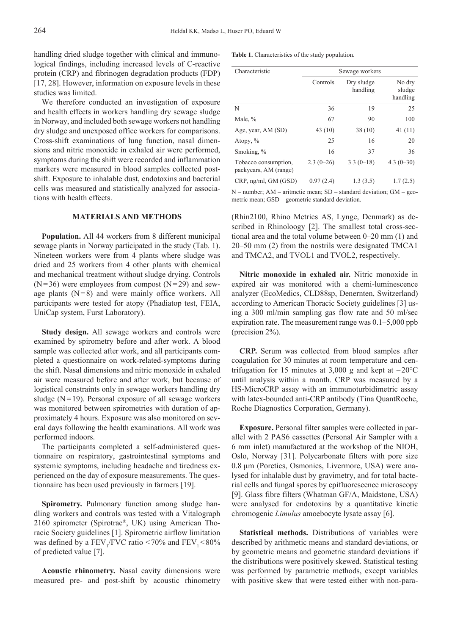handling dried sludge together with clinical and immunological findings, including increased levels of C-reactive protein (CRP) and fibrinogen degradation products (FDP) [17, 28]. However, information on exposure levels in these studies was limited.

We therefore conducted an investigation of exposure and health effects in workers handling dry sewage sludge in Norway, and included both sewage workers not handling dry sludge and unexposed office workers for comparisons. Cross-shift examinations of lung function, nasal dimensions and nitric monoxide in exhaled air were performed, symptoms during the shift were recorded and inflammation markers were measured in blood samples collected postshift. Exposure to inhalable dust, endotoxins and bacterial cells was measured and statistically analyzed for associations with health effects.

# **MATERIALS AND METHODS**

**Population.** All 44 workers from 8 different municipal sewage plants in Norway participated in the study (Tab. 1). Nineteen workers were from 4 plants where sludge was dried and 25 workers from 4 other plants with chemical and mechanical treatment without sludge drying. Controls  $(N=36)$  were employees from compost  $(N=29)$  and sewage plants  $(N=8)$  and were mainly office workers. All participants were tested for atopy (Phadiatop test, FEIA, UniCap system, Furst Laboratory).

**Study design.** All sewage workers and controls were examined by spirometry before and after work. A blood sample was collected after work, and all participants completed a questionnaire on work-related-symptoms during the shift. Nasal dimensions and nitric monoxide in exhaled air were measured before and after work, but because of logistical constraints only in sewage workers handling dry sludge  $(N=19)$ . Personal exposure of all sewage workers was monitored between spirometries with duration of approximately 4 hours. Exposure was also monitored on several days following the health examinations. All work was performed indoors.

The participants completed a self-administered questionnaire on respiratory, gastrointestinal symptoms and systemic symptoms, including headache and tiredness experienced on the day of exposure measurements. The questionnaire has been used previously in farmers [19].

**Spirometry.** Pulmonary function among sludge handling workers and controls was tested with a Vitalograph 2160 spirometer (Spirotrac®, UK) using American Thoracic Society guidelines [1]. Spirometric airflow limitation was defined by a  $\text{FEV}_1/\text{FVC}$  ratio  $\leq 70\%$  and  $\text{FEV}_1 \leq 80\%$ of predicted value [7].

**Acoustic rhinometry.** Nasal cavity dimensions were measured pre- and post-shift by acoustic rhinometry **Table 1.** Characteristics of the study population.

| Characteristic                                | Sewage workers |                        |                              |  |  |  |
|-----------------------------------------------|----------------|------------------------|------------------------------|--|--|--|
|                                               | Controls       | Dry sludge<br>handling | No dry<br>sludge<br>handling |  |  |  |
| N                                             | 36             | 19                     | 25                           |  |  |  |
| Male, %                                       | 67             | 90                     | 100                          |  |  |  |
| Age, year, AM (SD)                            | 43(10)         | 38(10)                 | 41(11)                       |  |  |  |
| Atopy, $\%$                                   | 25             | 16                     | 20                           |  |  |  |
| Smoking, %                                    | 16             | 37                     | 36                           |  |  |  |
| Tobacco consumption,<br>packyears, AM (range) | $2.3(0-26)$    | $3.3(0-18)$            | $4.3(0-30)$                  |  |  |  |
| $CRP$ , ng/ml, $GM$ ( $GSD$ )                 | 0.97(2.4)      | 1.3(3.5)               | 1.7(2.5)                     |  |  |  |

N – number; AM – aritmetic mean; SD – standard deviation; GM – geometric mean; GSD – geometric standard deviation.

(Rhin2100, Rhino Metrics AS, Lynge, Denmark) as described in Rhinoloogy [2]. The smallest total cross-sectional area and the total volume between 0–20 mm (1) and 20–50 mm (2) from the nostrils were designated TMCA1 and TMCA2, and TVOL1 and TVOL2, respectively.

**Nitric monoxide in exhaled air.** Nitric monoxide in expired air was monitored with a chemi-luminescence analyzer (EcoMedics, CLD88sp, Denernten, Switzerland) according to American Thoracic Society guidelines [3] using a 300 ml/min sampling gas flow rate and 50 ml/sec expiration rate. The measurement range was 0.1–5,000 ppb (precision 2%).

**CRP.** Serum was collected from blood samples after coagulation for 30 minutes at room temperature and centrifugation for 15 minutes at 3,000 g and kept at  $-20^{\circ}$ C until analysis within a month. CRP was measured by a HS-MicroCRP assay with an immunoturbidimetric assay with latex-bounded anti-CRP antibody (Tina QuantRoche, Roche Diagnostics Corporation, Germany).

**Exposure.** Personal filter samples were collected in parallel with 2 PAS6 cassettes (Personal Air Sampler with a 6 mm inlet) manufactured at the workshop of the NIOH, Oslo, Norway [31]. Polycarbonate filters with pore size 0.8 µm (Poretics, Osmonics, Livermore, USA) were analysed for inhalable dust by gravimetry, and for total bacterial cells and fungal spores by epifluorescence microscopy [9]. Glass fibre filters (Whatman GF/A, Maidstone, USA) were analysed for endotoxins by a quantitative kinetic chromogenic *Limulus* amoebocyte lysate assay [6].

**Statistical methods.** Distributions of variables were described by arithmetic means and standard deviations, or by geometric means and geometric standard deviations if the distributions were positively skewed. Statistical testing was performed by parametric methods, except variables with positive skew that were tested either with non-para-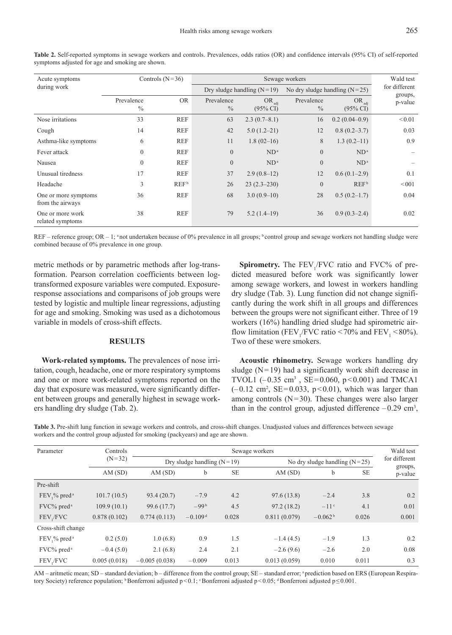| Acute symptoms                           | Controls $(N=36)$           |            |                             | Wald test                         |                             |                                   |                    |
|------------------------------------------|-----------------------------|------------|-----------------------------|-----------------------------------|-----------------------------|-----------------------------------|--------------------|
| during work                              |                             |            |                             | Dry sludge handling $(N=19)$      |                             | No dry sludge handling $(N=25)$   | for different      |
|                                          | Prevalence<br>$\frac{0}{0}$ | <b>OR</b>  | Prevalence<br>$\frac{0}{0}$ | $OR_{adi}$<br>$(95\% \text{ CI})$ | Prevalence<br>$\frac{0}{0}$ | $OR_{adi}$<br>$(95\% \text{ CI})$ | groups,<br>p-value |
| Nose irritations                         | 33                          | <b>REF</b> | 63                          | $2.3(0.7-8.1)$                    | 16                          | $0.2(0.04-0.9)$                   | < 0.01             |
| Cough                                    | 14                          | <b>REF</b> | 42                          | $5.0(1.2-21)$                     | 12                          | $0.8(0.2 - 3.7)$                  | 0.03               |
| Asthma-like symptoms                     | 6                           | <b>REF</b> | 11                          | $1.8(02-16)$                      | 8                           | $1.3(0.2-11)$                     | 0.9                |
| Fever attack                             | $\theta$                    | <b>REF</b> | $\overline{0}$              | $ND^a$                            | $\overline{0}$              | ND <sup>a</sup>                   |                    |
| Nausea                                   | $\mathbf{0}$                | <b>REF</b> | $\overline{0}$              | $ND^a$                            | $\theta$                    | ND <sup>a</sup>                   |                    |
| Unusual tiredness                        | 17                          | <b>REF</b> | 37                          | $2.9(0.8-12)$                     | 12                          | $0.6(0.1-2.9)$                    | 0.1                |
| Headache                                 | 3                           | $REF^b$    | 26                          | $23(2.3-230)$                     | $\theta$                    | $REF^b$                           | < 001              |
| One or more symptoms<br>from the airways | 36                          | <b>REF</b> | 68                          | $3.0(0.9-10)$                     | 28                          | $0.5(0.2-1.7)$                    | 0.04               |
| One or more work<br>related symptoms     | 38                          | <b>REF</b> | 79                          | $5.2(1.4-19)$                     | 36                          | $0.9(0.3-2.4)$                    | 0.02               |

**Table 2.** Self-reported symptoms in sewage workers and controls. Prevalences, odds ratios (OR) and confidence intervals (95% CI) of self-reported symptoms adjusted for age and smoking are shown.

REF – reference group; OR – 1; <sup>a</sup>not undertaken because of 0% prevalence in all groups; <sup>b</sup> control group and sewage workers not handling sludge were combined because of 0% prevalence in one group.

metric methods or by parametric methods after log-transformation. Pearson correlation coefficients between logtransformed exposure variables were computed. Exposureresponse associations and comparisons of job groups were tested by logistic and multiple linear regressions, adjusting for age and smoking. Smoking was used as a dichotomous variable in models of cross-shift effects.

#### **RESULTS**

**Work-related symptoms.** The prevalences of nose irritation, cough, headache, one or more respiratory symptoms and one or more work-related symptoms reported on the day that exposure was measured, were significantly different between groups and generally highest in sewage workers handling dry sludge (Tab. 2).

**Spirometry.** The FEV<sub>1</sub>/FVC ratio and FVC% of predicted measured before work was significantly lower among sewage workers, and lowest in workers handling dry sludge (Tab. 3). Lung function did not change significantly during the work shift in all groups and differences between the groups were not significant either. Three of 19 workers (16%) handling dried sludge had spirometric airflow limitation (FEV<sub>1</sub>/FVC ratio <70% and FEV<sub>1</sub> <80%). Two of these were smokers.

**Acoustic rhinometry.** Sewage workers handling dry sludge  $(N=19)$  had a significantly work shift decrease in TVOL1  $(-0.35 \text{ cm}^3, \text{ SE}=0.060, \text{ p} < 0.001)$  and TMCA1  $(-0.12 \text{ cm}^2, \text{ SE}=0.033, \text{ p}<0.01)$ , which was larger than among controls  $(N=30)$ . These changes were also larger than in the control group, adjusted difference  $-0.29$  cm<sup>3</sup>,

**Table 3.** Pre-shift lung function in sewage workers and controls, and cross-shift changes. Unadjusted values and differences between sewage workers and the control group adjusted for smoking (packyears) and age are shown.

| Parameter                  | Controls<br>$(N=32)$ | Sewage workers               |           |           |                                 |           |           |                    |
|----------------------------|----------------------|------------------------------|-----------|-----------|---------------------------------|-----------|-----------|--------------------|
|                            |                      | Dry sludge handling $(N=19)$ |           |           | No dry sludge handling $(N=25)$ |           |           | for different      |
|                            | AM(SD)               | AM(SD)                       | b         | <b>SE</b> | AM(SD)                          | b         | <b>SE</b> | groups,<br>p-value |
| Pre-shift                  |                      |                              |           |           |                                 |           |           |                    |
| FEV,% pred <sup>a</sup>    | 101.7(10.5)          | 93.4(20.7)                   | $-7.9$    | 4.2       | 97.6 (13.8)                     | $-2.4$    | 3.8       | 0.2                |
| FVC% pred <sup>a</sup>     | 109.9(10.1)          | 99.6 (17.7)                  | $-99b$    | 4.5       | 97.2(18.2)                      | $-11c$    | 4.1       | 0.01               |
| FEV./FVC                   | 0.878(0.102)         | 0.774(0.113)                 | $-0.109d$ | 0.028     | 0.811(0.079)                    | $-0.062b$ | 0.026     | 0.001              |
| Cross-shift change         |                      |                              |           |           |                                 |           |           |                    |
| $FEV$ ,% pred <sup>a</sup> | 0.2(5.0)             | 1.0(6.8)                     | 0.9       | 1.5       | $-1.4(4.5)$                     | $-1.9$    | 1.3       | 0.2                |
| FVC% pred <sup>a</sup>     | $-0.4(5.0)$          | 2.1(6.8)                     | 2.4       | 2.1       | $-2.6(9.6)$                     | $-2.6$    | 2.0       | 0.08               |
| FEV./FVC                   | 0.005(0.018)         | $-0.005(0.038)$              | $-0.009$  | 0.013     | 0.013(0.059)                    | 0.010     | 0.011     | 0.3                |

AM – aritmetic mean; SD – standard deviation; b – difference from the control group; SE – standard error; <sup>a</sup> prediction based on ERS (European Respiratory Society) reference population; <sup>b</sup>Bonferroni adjusted p < 0.1; <sup>c</sup>Bonferroni adjusted p < 0.05; <sup>d</sup>Bonferroni adjusted p ≤ 0.001.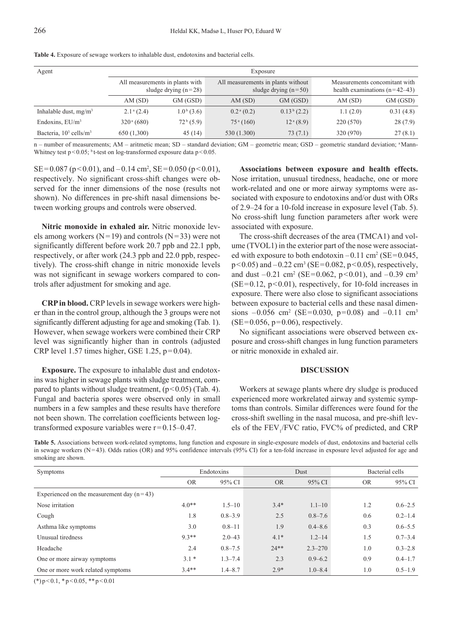| Agent                                 | Exposure                                                  |                       |                                                              |                       |                                                                  |           |  |  |  |
|---------------------------------------|-----------------------------------------------------------|-----------------------|--------------------------------------------------------------|-----------------------|------------------------------------------------------------------|-----------|--|--|--|
|                                       | All measurements in plants with<br>sludge drying $(n=28)$ |                       | All measurements in plants without<br>sludge drying $(n=50)$ |                       | Measurements concomitant with<br>health examinations $(n=42-43)$ |           |  |  |  |
|                                       | AM(SD)                                                    | GM (GSD)              | AM(SD)                                                       | GM (GSD)              | AM(SD)                                                           | GM (GSD)  |  |  |  |
| Inhalable dust, $mg/m3$               | $2.1^a(2.4)$                                              | $1.0b$ (3.6)          | $0.2^{\mathrm{a}}(0.2)$                                      | $0.13b$ (2.2)         | 1.1(2.0)                                                         | 0.31(4.8) |  |  |  |
| Endoxins, $EU/m^3$                    | $320^{\text{a}} (680)$                                    | 72 <sup>b</sup> (5.9) | 75 <sup>a</sup> (160)                                        | 12 <sup>a</sup> (8.9) | 220 (570)                                                        | 28(7.9)   |  |  |  |
| Bacteria, $10^3$ cells/m <sup>3</sup> | 650 (1,300)                                               | 45(14)                | 530 (1.300)                                                  | 73(7.1)               | 320 (970)                                                        | 27(8.1)   |  |  |  |

**Table 4.** Exposure of sewage workers to inhalable dust, endotoxins and bacterial cells.

n – number of measurements; AM – aritmetic mean; SD – standard deviation; GM – geometric mean; GSD – geometric standard deviation; <sup>a</sup>Mann-Whitney test  $p < 0.05$ ; <sup>b</sup> t-test on log-transformed exposure data  $p < 0.05$ .

 $SE = 0.087$  (p < 0.01), and  $-0.14$  cm<sup>2</sup>,  $SE = 0.050$  (p < 0.01), respectively. No significant cross-shift changes were observed for the inner dimensions of the nose (results not shown). No differences in pre-shift nasal dimensions between working groups and controls were observed.

**Nitric monoxide in exhaled air.** Nitric monoxide levels among workers ( $N=19$ ) and controls ( $N=33$ ) were not significantly different before work 20.7 ppb and 22.1 ppb, respectively, or after work (24.3 ppb and 22.0 ppb, respectively). The cross-shift change in nitric monoxide levels was not significant in sewage workers compared to controls after adjustment for smoking and age.

**CRP in blood.** CRP levels in sewage workers were higher than in the control group, although the 3 groups were not significantly different adjusting for age and smoking (Tab. 1). However, when sewage workers were combined their CRP level was significantly higher than in controls (adjusted CRP level 1.57 times higher, GSE 1.25,  $p=0.04$ ).

**Exposure.** The exposure to inhalable dust and endotoxins was higher in sewage plants with sludge treatment, compared to plants without sludge treatment,  $(p<0.05)$  (Tab. 4). Fungal and bacteria spores were observed only in small numbers in a few samples and these results have therefore not been shown. The correlation coefficients between logtransformed exposure variables were r=0.15–0.47.

**Associations between exposure and health effects.** Nose irritation, unusual tiredness, headache, one or more work-related and one or more airway symptoms were associated with exposure to endotoxins and/or dust with ORs of 2.9–24 for a 10-fold increase in exposure level (Tab. 5). No cross-shift lung function parameters after work were associated with exposure.

The cross-shift decreases of the area (TMCA1) and volume (TVOL1) in the exterior part of the nose were associated with exposure to both endotoxin  $-0.11 \text{ cm}^2$  (SE=0.045,  $p<0.05$ ) and  $-0.22$  cm<sup>3</sup> (SE=0.082,  $p<0.05$ ), respectively, and dust  $-0.21$  cm<sup>2</sup> (SE=0.062, p<0.01), and  $-0.39$  cm<sup>3</sup>  $(SE=0.12, p<0.01)$ , respectively, for 10-fold increases in exposure. There were also close to significant associations between exposure to bacterial cells and these nasal dimensions  $-0.056$  cm<sup>2</sup> (SE=0.030, p=0.08) and  $-0.11$  cm<sup>3</sup>  $(SE=0.056, p=0.06)$ , respectively.

No significant associations were observed between exposure and cross-shift changes in lung function parameters or nitric monoxide in exhaled air.

### **DISCUSSION**

Workers at sewage plants where dry sludge is produced experienced more workrelated airway and systemic symptoms than controls. Similar differences were found for the cross-shift swelling in the nasal mucosa, and pre-shift levels of the  $FEV_1/FVC$  ratio,  $FVC%$  of predicted, and CRP

**Table 5.** Associations between work-related symptoms, lung function and exposure in single-exposure models of dust, endotoxins and bacterial cells in sewage workers (N=43). Odds ratios (OR) and 95% confidence intervals (95% CI) for a ten-fold increase in exposure level adjusted for age and smoking are shown.

| <b>Symptoms</b>                             | Endotoxins |             | Dust      |             | Bacterial cells |             |
|---------------------------------------------|------------|-------------|-----------|-------------|-----------------|-------------|
|                                             | <b>OR</b>  | 95% CI      | <b>OR</b> | 95% CI      | <b>OR</b>       | 95% CI      |
| Experienced on the measurement day $(n=43)$ |            |             |           |             |                 |             |
| Nose irritation                             | $4.0**$    | $1.5 - 10$  | $3.4*$    | $1.1 - 10$  | 1.2             | $0.6 - 2.5$ |
| Cough                                       | 1.8        | $0.8 - 3.9$ | 2.5       | $0.8 - 7.6$ | 0.6             | $0.2 - 1.4$ |
| Asthma like symptoms                        | 3.0        | $0.8 - 11$  | 1.9       | $0.4 - 8.6$ | 0.3             | $0.6 - 5.5$ |
| Unusual tiredness                           | $9.3**$    | $2.0 - 43$  | $4.1*$    | $1.2 - 14$  | 1.5             | $0.7 - 3.4$ |
| Headache                                    | 2.4        | $0.8 - 7.5$ | $24**$    | $2.3 - 270$ | 1.0             | $0.3 - 2.8$ |
| One or more airway symptoms                 | $3.1*$     | $1.3 - 7.4$ | 2.3       | $0.9 - 6.2$ | 0.9             | $0.4 - 1.7$ |
| One or more work related symptoms           | $3.4**$    | $1.4 - 8.7$ | $2.9*$    | $1.0 - 8.4$ | 1.0             | $0.5 - 1.9$ |

 $(*)$  p < 0.1,  $*$  p < 0.05,  $*$  + p < 0.01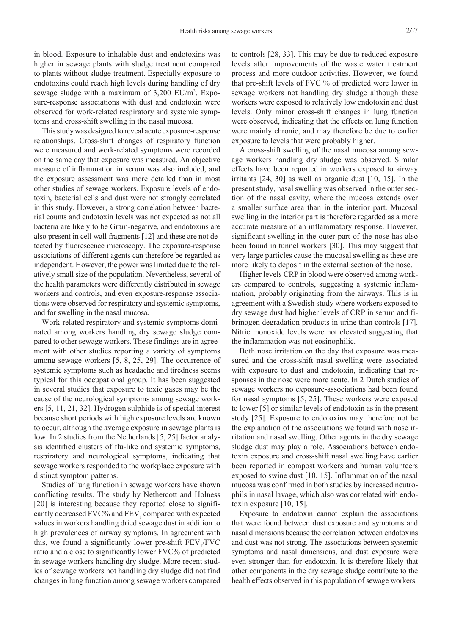in blood. Exposure to inhalable dust and endotoxins was higher in sewage plants with sludge treatment compared to plants without sludge treatment. Especially exposure to endotoxins could reach high levels during handling of dry sewage sludge with a maximum of 3,200 EU/m<sup>3</sup>. Exposure-response associations with dust and endotoxin were observed for work-related respiratory and systemic symptoms and cross-shift swelling in the nasal mucosa.

This study was designed to reveal acute exposure-response relationships. Cross-shift changes of respiratory function were measured and work-related symptoms were recorded on the same day that exposure was measured. An objective measure of inflammation in serum was also included, and the exposure assessment was more detailed than in most other studies of sewage workers. Exposure levels of endotoxin, bacterial cells and dust were not strongly correlated in this study. However, a strong correlation between bacterial counts and endotoxin levels was not expected as not all bacteria are likely to be Gram-negative, and endotoxins are also present in cell wall fragments [12] and these are not detected by fluorescence microscopy. The exposure-response associations of different agents can therefore be regarded as independent. However, the power was limited due to the relatively small size of the population. Nevertheless, several of the health parameters were differently distributed in sewage workers and controls, and even exposure-response associations were observed for respiratory and systemic symptoms, and for swelling in the nasal mucosa.

Work-related respiratory and systemic symptoms dominated among workers handling dry sewage sludge compared to other sewage workers. These findings are in agreement with other studies reporting a variety of symptoms among sewage workers [5, 8, 25, 29]. The occurrence of systemic symptoms such as headache and tiredness seems typical for this occupational group. It has been suggested in several studies that exposure to toxic gases may be the cause of the neurological symptoms among sewage workers [5, 11, 21, 32]. Hydrogen sulphide is of special interest because short periods with high exposure levels are known to occur, although the average exposure in sewage plants is low. In 2 studies from the Netherlands [5, 25] factor analysis identified clusters of flu-like and systemic symptoms, respiratory and neurological symptoms, indicating that sewage workers responded to the workplace exposure with distinct symptom patterns.

Studies of lung function in sewage workers have shown conflicting results. The study by Nethercott and Holness [20] is interesting because they reported close to significantly decreased  $FVC\%$  and  $FEV_1$  compared with expected values in workers handling dried sewage dust in addition to high prevalences of airway symptoms. In agreement with this, we found a significantly lower pre-shift  $FEV<sub>1</sub>/FVC$ ratio and a close to significantly lower FVC% of predicted in sewage workers handling dry sludge. More recent studies of sewage workers not handling dry sludge did not find changes in lung function among sewage workers compared

to controls [28, 33]. This may be due to reduced exposure levels after improvements of the waste water treatment process and more outdoor activities. However, we found that pre-shift levels of FVC % of predicted were lower in sewage workers not handling dry sludge although these workers were exposed to relatively low endotoxin and dust levels. Only minor cross-shift changes in lung function were observed, indicating that the effects on lung function were mainly chronic, and may therefore be due to earlier exposure to levels that were probably higher.

A cross-shift swelling of the nasal mucosa among sewage workers handling dry sludge was observed. Similar effects have been reported in workers exposed to airway irritants [24, 30] as well as organic dust [10, 15]. In the present study, nasal swelling was observed in the outer section of the nasal cavity, where the mucosa extends over a smaller surface area than in the interior part. Mucosal swelling in the interior part is therefore regarded as a more accurate measure of an inflammatory response. However, significant swelling in the outer part of the nose has also been found in tunnel workers [30]. This may suggest that very large particles cause the mucosal swelling as these are more likely to deposit in the external section of the nose.

Higher levels CRP in blood were observed among workers compared to controls, suggesting a systemic inflammation, probably originating from the airways. This is in agreement with a Swedish study where workers exposed to dry sewage dust had higher levels of CRP in serum and fibrinogen degradation products in urine than controls [17]. Nitric monoxide levels were not elevated suggesting that the inflammation was not eosinophilic.

Both nose irritation on the day that exposure was measured and the cross-shift nasal swelling were associated with exposure to dust and endotoxin, indicating that responses in the nose were more acute. In 2 Dutch studies of sewage workers no exposure-associations had been found for nasal symptoms [5, 25]. These workers were exposed to lower [5] or similar levels of endotoxin as in the present study [25]. Exposure to endotoxins may therefore not be the explanation of the associations we found with nose irritation and nasal swelling. Other agents in the dry sewage sludge dust may play a role. Associations between endotoxin exposure and cross-shift nasal swelling have earlier been reported in compost workers and human volunteers exposed to swine dust [10, 15]. Inflammation of the nasal mucosa was confirmed in both studies by increased neutrophils in nasal lavage, which also was correlated with endotoxin exposure [10, 15].

Exposure to endotoxin cannot explain the associations that were found between dust exposure and symptoms and nasal dimensions because the correlation between endotoxins and dust was not strong. The associations between systemic symptoms and nasal dimensions, and dust exposure were even stronger than for endotoxin. It is therefore likely that other components in the dry sewage sludge contribute to the health effects observed in this population of sewage workers.